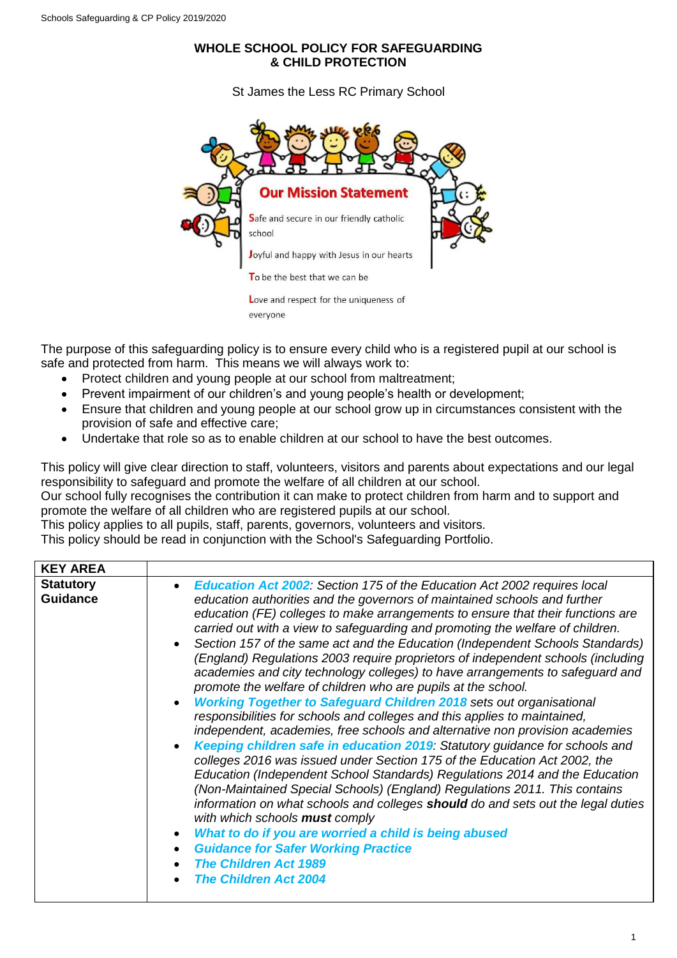## **WHOLE SCHOOL POLICY FOR SAFEGUARDING & CHILD PROTECTION**

St James the Less RC Primary School



- The purpose of this safeguarding policy is to ensure every child who is a registered pupil at our school is safe and protected from harm. This means we will always work to:
	- Protect children and young people at our school from maltreatment;
	- Prevent impairment of our children's and young people's health or development;
	- Ensure that children and young people at our school grow up in circumstances consistent with the provision of safe and effective care;
	- Undertake that role so as to enable children at our school to have the best outcomes.

This policy will give clear direction to staff, volunteers, visitors and parents about expectations and our legal responsibility to safeguard and promote the welfare of all children at our school.

Our school fully recognises the contribution it can make to protect children from harm and to support and promote the welfare of all children who are registered pupils at our school.

This policy applies to all pupils, staff, parents, governors, volunteers and visitors.

This policy should be read in conjunction with the School's Safeguarding Portfolio.

| <b>KEY AREA</b>                     |                                                                                                                                                                                                                                                                                                                                                                                                                                                                                                                                                                                                                                                                                                                                                                                                                                                                                                                                                                                                                                                                                                                                                                                                                                                                                                                                                                                                                                                                                                                                               |
|-------------------------------------|-----------------------------------------------------------------------------------------------------------------------------------------------------------------------------------------------------------------------------------------------------------------------------------------------------------------------------------------------------------------------------------------------------------------------------------------------------------------------------------------------------------------------------------------------------------------------------------------------------------------------------------------------------------------------------------------------------------------------------------------------------------------------------------------------------------------------------------------------------------------------------------------------------------------------------------------------------------------------------------------------------------------------------------------------------------------------------------------------------------------------------------------------------------------------------------------------------------------------------------------------------------------------------------------------------------------------------------------------------------------------------------------------------------------------------------------------------------------------------------------------------------------------------------------------|
| <b>Statutory</b><br><b>Guidance</b> | <b>Education Act 2002:</b> Section 175 of the Education Act 2002 requires local<br>education authorities and the governors of maintained schools and further<br>education (FE) colleges to make arrangements to ensure that their functions are<br>carried out with a view to safeguarding and promoting the welfare of children.<br>Section 157 of the same act and the Education (Independent Schools Standards)<br>(England) Regulations 2003 require proprietors of independent schools (including<br>academies and city technology colleges) to have arrangements to safeguard and<br>promote the welfare of children who are pupils at the school.<br><b>Working Together to Safeguard Children 2018 sets out organisational</b><br>responsibilities for schools and colleges and this applies to maintained,<br>independent, academies, free schools and alternative non provision academies<br>Keeping children safe in education 2019: Statutory guidance for schools and<br>colleges 2016 was issued under Section 175 of the Education Act 2002, the<br>Education (Independent School Standards) Regulations 2014 and the Education<br>(Non-Maintained Special Schools) (England) Regulations 2011. This contains<br>information on what schools and colleges should do and sets out the legal duties<br>with which schools <b>must</b> comply<br>What to do if you are worried a child is being abused<br><b>Guidance for Safer Working Practice</b><br>$\bullet$<br><b>The Children Act 1989</b><br><b>The Children Act 2004</b> |
|                                     |                                                                                                                                                                                                                                                                                                                                                                                                                                                                                                                                                                                                                                                                                                                                                                                                                                                                                                                                                                                                                                                                                                                                                                                                                                                                                                                                                                                                                                                                                                                                               |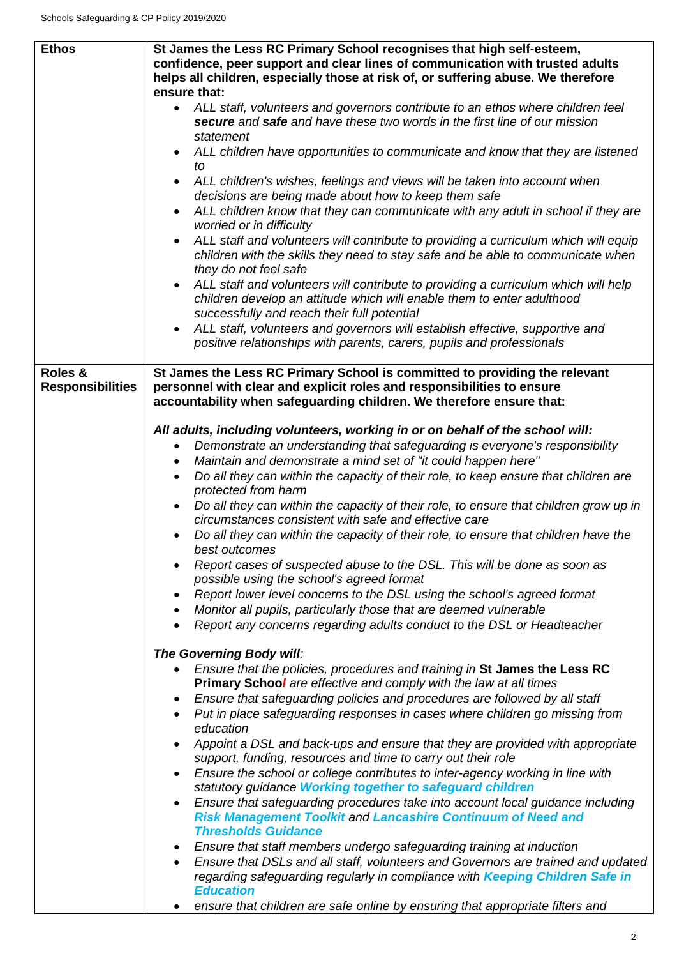| <b>Ethos</b>            | St James the Less RC Primary School recognises that high self-esteem,<br>confidence, peer support and clear lines of communication with trusted adults<br>helps all children, especially those at risk of, or suffering abuse. We therefore<br>ensure that:<br>• ALL staff, volunteers and governors contribute to an ethos where children feel<br>secure and safe and have these two words in the first line of our mission<br>statement<br>ALL children have opportunities to communicate and know that they are listened<br>tΩ<br>ALL children's wishes, feelings and views will be taken into account when<br>$\bullet$<br>decisions are being made about how to keep them safe<br>ALL children know that they can communicate with any adult in school if they are<br>worried or in difficulty<br>ALL staff and volunteers will contribute to providing a curriculum which will equip<br>$\bullet$<br>children with the skills they need to stay safe and be able to communicate when<br>they do not feel safe<br>ALL staff and volunteers will contribute to providing a curriculum which will help<br>children develop an attitude which will enable them to enter adulthood<br>successfully and reach their full potential<br>ALL staff, volunteers and governors will establish effective, supportive and |
|-------------------------|--------------------------------------------------------------------------------------------------------------------------------------------------------------------------------------------------------------------------------------------------------------------------------------------------------------------------------------------------------------------------------------------------------------------------------------------------------------------------------------------------------------------------------------------------------------------------------------------------------------------------------------------------------------------------------------------------------------------------------------------------------------------------------------------------------------------------------------------------------------------------------------------------------------------------------------------------------------------------------------------------------------------------------------------------------------------------------------------------------------------------------------------------------------------------------------------------------------------------------------------------------------------------------------------------------------------|
| Roles &                 | positive relationships with parents, carers, pupils and professionals<br>St James the Less RC Primary School is committed to providing the relevant                                                                                                                                                                                                                                                                                                                                                                                                                                                                                                                                                                                                                                                                                                                                                                                                                                                                                                                                                                                                                                                                                                                                                                |
| <b>Responsibilities</b> | personnel with clear and explicit roles and responsibilities to ensure<br>accountability when safeguarding children. We therefore ensure that:<br>All adults, including volunteers, working in or on behalf of the school will:<br>Demonstrate an understanding that safeguarding is everyone's responsibility<br>$\bullet$<br>Maintain and demonstrate a mind set of "it could happen here"<br>$\bullet$<br>Do all they can within the capacity of their role, to keep ensure that children are<br>$\bullet$<br>protected from harm<br>Do all they can within the capacity of their role, to ensure that children grow up in<br>circumstances consistent with safe and effective care<br>Do all they can within the capacity of their role, to ensure that children have the<br>best outcomes<br>Report cases of suspected abuse to the DSL. This will be done as soon as<br>possible using the school's agreed format<br>Report lower level concerns to the DSL using the school's agreed format<br>Monitor all pupils, particularly those that are deemed vulnerable<br>$\bullet$<br>Report any concerns regarding adults conduct to the DSL or Headteacher<br>$\bullet$                                                                                                                                        |
|                         | The Governing Body will:<br>Ensure that the policies, procedures and training in St James the Less RC<br><b>Primary School are effective and comply with the law at all times</b><br>Ensure that safeguarding policies and procedures are followed by all staff<br>Put in place safeguarding responses in cases where children go missing from<br>$\bullet$<br>education<br>Appoint a DSL and back-ups and ensure that they are provided with appropriate<br>support, funding, resources and time to carry out their role<br>Ensure the school or college contributes to inter-agency working in line with<br>$\bullet$<br>statutory guidance Working together to safeguard children<br>Ensure that safeguarding procedures take into account local guidance including<br>$\bullet$<br><b>Risk Management Toolkit and Lancashire Continuum of Need and</b><br><b>Thresholds Guidance</b><br>Ensure that staff members undergo safeguarding training at induction<br>Ensure that DSLs and all staff, volunteers and Governors are trained and updated<br>$\bullet$<br>regarding safeguarding regularly in compliance with Keeping Children Safe in<br><b>Education</b><br>ensure that children are safe online by ensuring that appropriate filters and                                                             |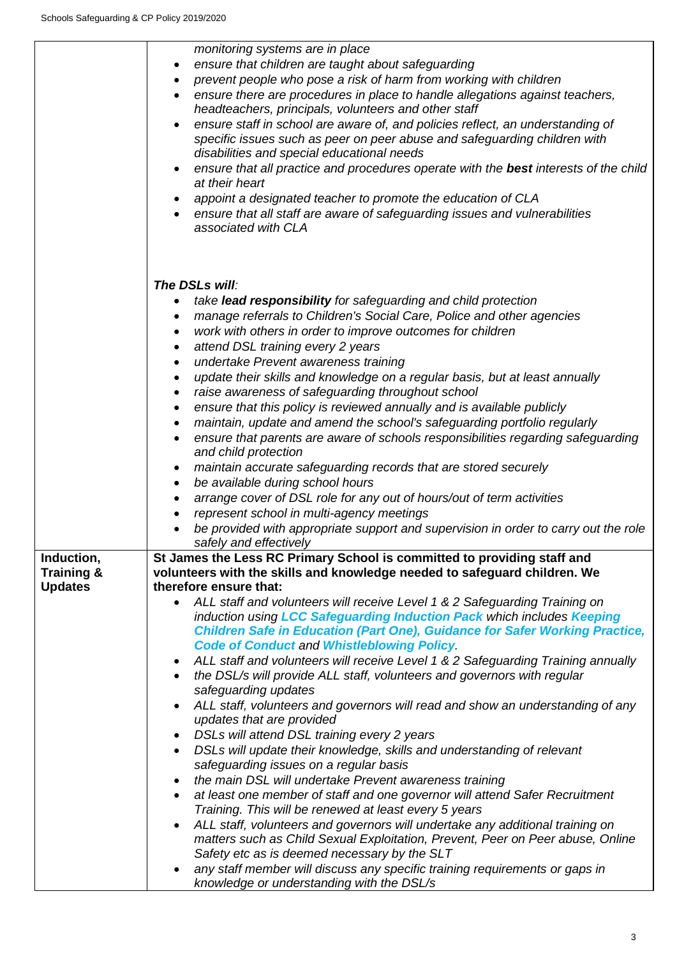|                                         | monitoring systems are in place<br>ensure that children are taught about safeguarding<br>٠<br>prevent people who pose a risk of harm from working with children<br>ensure there are procedures in place to handle allegations against teachers,<br>headteachers, principals, volunteers and other staff<br>ensure staff in school are aware of, and policies reflect, an understanding of<br>specific issues such as peer on peer abuse and safeguarding children with<br>disabilities and special educational needs<br>ensure that all practice and procedures operate with the best interests of the child |  |
|-----------------------------------------|--------------------------------------------------------------------------------------------------------------------------------------------------------------------------------------------------------------------------------------------------------------------------------------------------------------------------------------------------------------------------------------------------------------------------------------------------------------------------------------------------------------------------------------------------------------------------------------------------------------|--|
|                                         | at their heart                                                                                                                                                                                                                                                                                                                                                                                                                                                                                                                                                                                               |  |
|                                         | appoint a designated teacher to promote the education of CLA                                                                                                                                                                                                                                                                                                                                                                                                                                                                                                                                                 |  |
|                                         | ensure that all staff are aware of safeguarding issues and vulnerabilities<br>associated with CLA                                                                                                                                                                                                                                                                                                                                                                                                                                                                                                            |  |
|                                         | The DSLs will:                                                                                                                                                                                                                                                                                                                                                                                                                                                                                                                                                                                               |  |
|                                         | take lead responsibility for safeguarding and child protection<br>manage referrals to Children's Social Care, Police and other agencies<br>٠                                                                                                                                                                                                                                                                                                                                                                                                                                                                 |  |
|                                         | work with others in order to improve outcomes for children<br>٠                                                                                                                                                                                                                                                                                                                                                                                                                                                                                                                                              |  |
|                                         | attend DSL training every 2 years<br>٠                                                                                                                                                                                                                                                                                                                                                                                                                                                                                                                                                                       |  |
|                                         | undertake Prevent awareness training<br>٠                                                                                                                                                                                                                                                                                                                                                                                                                                                                                                                                                                    |  |
|                                         | update their skills and knowledge on a regular basis, but at least annually<br>٠                                                                                                                                                                                                                                                                                                                                                                                                                                                                                                                             |  |
|                                         | raise awareness of safeguarding throughout school<br>٠                                                                                                                                                                                                                                                                                                                                                                                                                                                                                                                                                       |  |
|                                         | ensure that this policy is reviewed annually and is available publicly<br>٠<br>maintain, update and amend the school's safeguarding portfolio regularly<br>$\bullet$                                                                                                                                                                                                                                                                                                                                                                                                                                         |  |
|                                         | ensure that parents are aware of schools responsibilities regarding safeguarding<br>and child protection                                                                                                                                                                                                                                                                                                                                                                                                                                                                                                     |  |
|                                         | maintain accurate safeguarding records that are stored securely<br>٠                                                                                                                                                                                                                                                                                                                                                                                                                                                                                                                                         |  |
|                                         | be available during school hours<br>٠                                                                                                                                                                                                                                                                                                                                                                                                                                                                                                                                                                        |  |
|                                         | arrange cover of DSL role for any out of hours/out of term activities<br>٠                                                                                                                                                                                                                                                                                                                                                                                                                                                                                                                                   |  |
|                                         | represent school in multi-agency meetings<br>be provided with appropriate support and supervision in order to carry out the role                                                                                                                                                                                                                                                                                                                                                                                                                                                                             |  |
|                                         | safely and effectively                                                                                                                                                                                                                                                                                                                                                                                                                                                                                                                                                                                       |  |
| Induction,                              | St James the Less RC Primary School is committed to providing staff and                                                                                                                                                                                                                                                                                                                                                                                                                                                                                                                                      |  |
| <b>Training &amp;</b><br><b>Updates</b> | volunteers with the skills and knowledge needed to safeguard children. We<br>therefore ensure that:                                                                                                                                                                                                                                                                                                                                                                                                                                                                                                          |  |
|                                         | ALL staff and volunteers will receive Level 1 & 2 Safeguarding Training on                                                                                                                                                                                                                                                                                                                                                                                                                                                                                                                                   |  |
|                                         | induction using LCC Safeguarding Induction Pack which includes Keeping<br><b>Children Safe in Education (Part One), Guidance for Safer Working Practice,</b><br><b>Code of Conduct and Whistleblowing Policy.</b>                                                                                                                                                                                                                                                                                                                                                                                            |  |
|                                         | ALL staff and volunteers will receive Level 1 & 2 Safeguarding Training annually                                                                                                                                                                                                                                                                                                                                                                                                                                                                                                                             |  |
|                                         | the DSL/s will provide ALL staff, volunteers and governors with regular                                                                                                                                                                                                                                                                                                                                                                                                                                                                                                                                      |  |
|                                         | safeguarding updates                                                                                                                                                                                                                                                                                                                                                                                                                                                                                                                                                                                         |  |
|                                         | ALL staff, volunteers and governors will read and show an understanding of any                                                                                                                                                                                                                                                                                                                                                                                                                                                                                                                               |  |
|                                         | updates that are provided<br>DSLs will attend DSL training every 2 years                                                                                                                                                                                                                                                                                                                                                                                                                                                                                                                                     |  |
|                                         | DSLs will update their knowledge, skills and understanding of relevant                                                                                                                                                                                                                                                                                                                                                                                                                                                                                                                                       |  |
|                                         | safeguarding issues on a regular basis                                                                                                                                                                                                                                                                                                                                                                                                                                                                                                                                                                       |  |
|                                         | the main DSL will undertake Prevent awareness training<br>$\bullet$                                                                                                                                                                                                                                                                                                                                                                                                                                                                                                                                          |  |
|                                         | at least one member of staff and one governor will attend Safer Recruitment<br>٠<br>Training. This will be renewed at least every 5 years                                                                                                                                                                                                                                                                                                                                                                                                                                                                    |  |
|                                         | ALL staff, volunteers and governors will undertake any additional training on                                                                                                                                                                                                                                                                                                                                                                                                                                                                                                                                |  |
|                                         | matters such as Child Sexual Exploitation, Prevent, Peer on Peer abuse, Online<br>Safety etc as is deemed necessary by the SLT                                                                                                                                                                                                                                                                                                                                                                                                                                                                               |  |
|                                         | any staff member will discuss any specific training requirements or gaps in                                                                                                                                                                                                                                                                                                                                                                                                                                                                                                                                  |  |
|                                         | knowledge or understanding with the DSL/s                                                                                                                                                                                                                                                                                                                                                                                                                                                                                                                                                                    |  |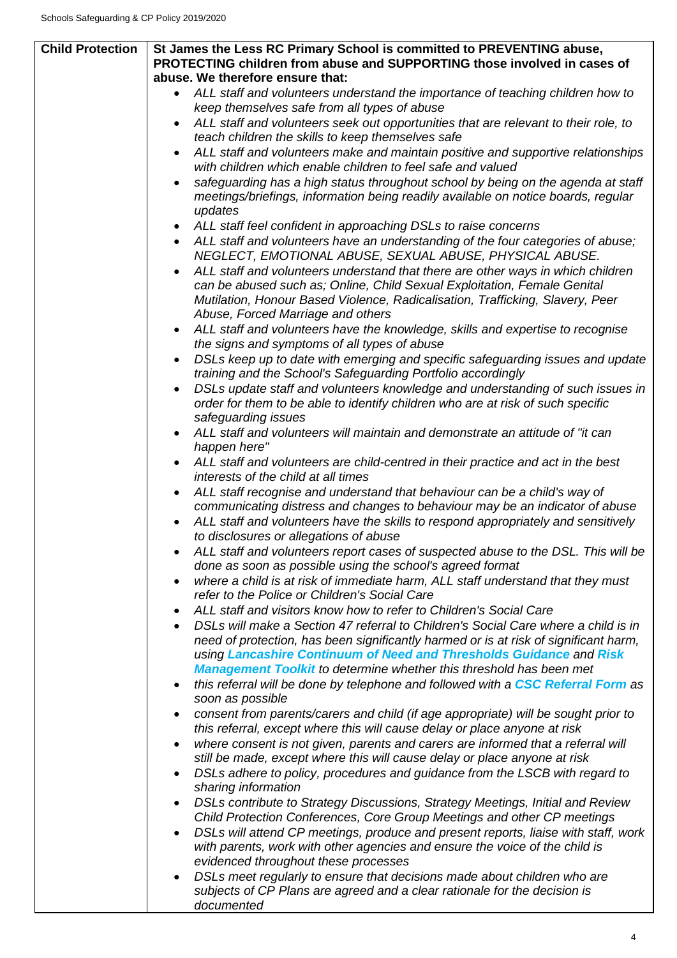| <b>Child Protection</b> | St James the Less RC Primary School is committed to PREVENTING abuse,<br>PROTECTING children from abuse and SUPPORTING those involved in cases of<br>abuse. We therefore ensure that:                                                                                             |  |  |
|-------------------------|-----------------------------------------------------------------------------------------------------------------------------------------------------------------------------------------------------------------------------------------------------------------------------------|--|--|
|                         |                                                                                                                                                                                                                                                                                   |  |  |
|                         | ALL staff and volunteers understand the importance of teaching children how to                                                                                                                                                                                                    |  |  |
|                         | keep themselves safe from all types of abuse                                                                                                                                                                                                                                      |  |  |
|                         | ALL staff and volunteers seek out opportunities that are relevant to their role, to<br>teach children the skills to keep themselves safe                                                                                                                                          |  |  |
|                         | ALL staff and volunteers make and maintain positive and supportive relationships<br>with children which enable children to feel safe and valued                                                                                                                                   |  |  |
|                         | safeguarding has a high status throughout school by being on the agenda at staff<br>meetings/briefings, information being readily available on notice boards, regular<br>updates                                                                                                  |  |  |
|                         | ALL staff feel confident in approaching DSLs to raise concerns                                                                                                                                                                                                                    |  |  |
|                         | ALL staff and volunteers have an understanding of the four categories of abuse;<br>NEGLECT, EMOTIONAL ABUSE, SEXUAL ABUSE, PHYSICAL ABUSE.                                                                                                                                        |  |  |
|                         | ALL staff and volunteers understand that there are other ways in which children<br>can be abused such as; Online, Child Sexual Exploitation, Female Genital<br>Mutilation, Honour Based Violence, Radicalisation, Trafficking, Slavery, Peer<br>Abuse, Forced Marriage and others |  |  |
|                         | ALL staff and volunteers have the knowledge, skills and expertise to recognise                                                                                                                                                                                                    |  |  |
|                         | the signs and symptoms of all types of abuse<br>DSLs keep up to date with emerging and specific safeguarding issues and update                                                                                                                                                    |  |  |
|                         | training and the School's Safeguarding Portfolio accordingly                                                                                                                                                                                                                      |  |  |
|                         | DSLs update staff and volunteers knowledge and understanding of such issues in<br>order for them to be able to identify children who are at risk of such specific<br>safeguarding issues                                                                                          |  |  |
|                         | ALL staff and volunteers will maintain and demonstrate an attitude of "it can<br>happen here"                                                                                                                                                                                     |  |  |
|                         | ALL staff and volunteers are child-centred in their practice and act in the best<br>interests of the child at all times                                                                                                                                                           |  |  |
|                         | ALL staff recognise and understand that behaviour can be a child's way of<br>communicating distress and changes to behaviour may be an indicator of abuse                                                                                                                         |  |  |
|                         | ALL staff and volunteers have the skills to respond appropriately and sensitively<br>to disclosures or allegations of abuse                                                                                                                                                       |  |  |
|                         | ALL staff and volunteers report cases of suspected abuse to the DSL. This will be<br>done as soon as possible using the school's agreed format                                                                                                                                    |  |  |
|                         | where a child is at risk of immediate harm, ALL staff understand that they must<br>refer to the Police or Children's Social Care                                                                                                                                                  |  |  |
|                         | ALL staff and visitors know how to refer to Children's Social Care                                                                                                                                                                                                                |  |  |
|                         | DSLs will make a Section 47 referral to Children's Social Care where a child is in<br>need of protection, has been significantly harmed or is at risk of significant harm,<br>using Lancashire Continuum of Need and Thresholds Guidance and Risk                                 |  |  |
|                         | <b>Management Toolkit to determine whether this threshold has been met</b>                                                                                                                                                                                                        |  |  |
|                         | this referral will be done by telephone and followed with a CSC Referral Form as<br>soon as possible                                                                                                                                                                              |  |  |
|                         | consent from parents/carers and child (if age appropriate) will be sought prior to<br>this referral, except where this will cause delay or place anyone at risk                                                                                                                   |  |  |
|                         | where consent is not given, parents and carers are informed that a referral will                                                                                                                                                                                                  |  |  |
|                         | still be made, except where this will cause delay or place anyone at risk<br>DSLs adhere to policy, procedures and guidance from the LSCB with regard to                                                                                                                          |  |  |
|                         | sharing information<br>DSLs contribute to Strategy Discussions, Strategy Meetings, Initial and Review                                                                                                                                                                             |  |  |
|                         | Child Protection Conferences, Core Group Meetings and other CP meetings<br>DSLs will attend CP meetings, produce and present reports, liaise with staff, work<br>$\bullet$                                                                                                        |  |  |
|                         | with parents, work with other agencies and ensure the voice of the child is<br>evidenced throughout these processes                                                                                                                                                               |  |  |
|                         | DSLs meet regularly to ensure that decisions made about children who are                                                                                                                                                                                                          |  |  |
|                         | subjects of CP Plans are agreed and a clear rationale for the decision is<br>documented                                                                                                                                                                                           |  |  |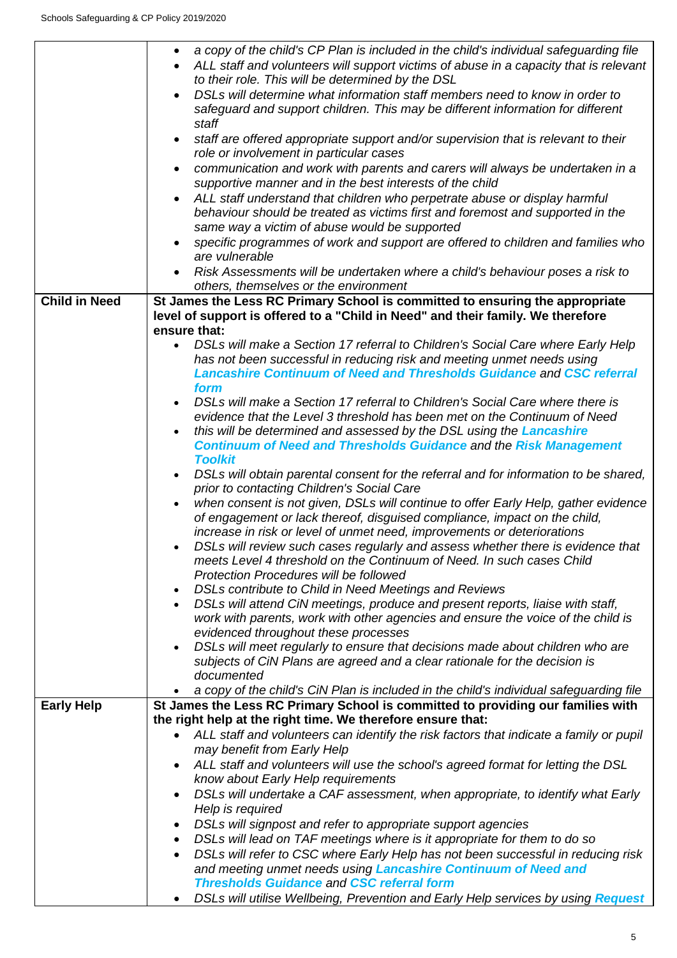|                      | a copy of the child's CP Plan is included in the child's individual safeguarding file<br>$\bullet$<br>ALL staff and volunteers will support victims of abuse in a capacity that is relevant |  |
|----------------------|---------------------------------------------------------------------------------------------------------------------------------------------------------------------------------------------|--|
|                      | to their role. This will be determined by the DSL                                                                                                                                           |  |
|                      | DSLs will determine what information staff members need to know in order to<br>safeguard and support children. This may be different information for different                              |  |
|                      | staff                                                                                                                                                                                       |  |
|                      | staff are offered appropriate support and/or supervision that is relevant to their<br>$\bullet$<br>role or involvement in particular cases                                                  |  |
|                      | communication and work with parents and carers will always be undertaken in a                                                                                                               |  |
|                      | supportive manner and in the best interests of the child                                                                                                                                    |  |
|                      | ALL staff understand that children who perpetrate abuse or display harmful                                                                                                                  |  |
|                      | behaviour should be treated as victims first and foremost and supported in the<br>same way a victim of abuse would be supported                                                             |  |
|                      | specific programmes of work and support are offered to children and families who                                                                                                            |  |
|                      | are vulnerable                                                                                                                                                                              |  |
|                      | Risk Assessments will be undertaken where a child's behaviour poses a risk to                                                                                                               |  |
|                      | others, themselves or the environment                                                                                                                                                       |  |
| <b>Child in Need</b> | St James the Less RC Primary School is committed to ensuring the appropriate                                                                                                                |  |
|                      | level of support is offered to a "Child in Need" and their family. We therefore                                                                                                             |  |
|                      | ensure that:                                                                                                                                                                                |  |
|                      | DSLs will make a Section 17 referral to Children's Social Care where Early Help<br>$\bullet$                                                                                                |  |
|                      | has not been successful in reducing risk and meeting unmet needs using                                                                                                                      |  |
|                      | <b>Lancashire Continuum of Need and Thresholds Guidance and CSC referral</b>                                                                                                                |  |
|                      | form                                                                                                                                                                                        |  |
|                      | DSLs will make a Section 17 referral to Children's Social Care where there is                                                                                                               |  |
|                      | evidence that the Level 3 threshold has been met on the Continuum of Need                                                                                                                   |  |
|                      | this will be determined and assessed by the DSL using the Lancashire                                                                                                                        |  |
|                      | <b>Continuum of Need and Thresholds Guidance and the Risk Management</b>                                                                                                                    |  |
|                      | <b>Toolkit</b>                                                                                                                                                                              |  |
|                      | DSLs will obtain parental consent for the referral and for information to be shared,                                                                                                        |  |
|                      | prior to contacting Children's Social Care<br>when consent is not given, DSLs will continue to offer Early Help, gather evidence                                                            |  |
|                      | of engagement or lack thereof, disguised compliance, impact on the child,                                                                                                                   |  |
|                      | increase in risk or level of unmet need, improvements or deteriorations                                                                                                                     |  |
|                      | DSLs will review such cases regularly and assess whether there is evidence that                                                                                                             |  |
|                      | meets Level 4 threshold on the Continuum of Need. In such cases Child                                                                                                                       |  |
|                      | <b>Protection Procedures will be followed</b>                                                                                                                                               |  |
|                      | DSLs contribute to Child in Need Meetings and Reviews<br>$\bullet$                                                                                                                          |  |
|                      | DSLs will attend CiN meetings, produce and present reports, liaise with staff,                                                                                                              |  |
|                      | work with parents, work with other agencies and ensure the voice of the child is                                                                                                            |  |
|                      | evidenced throughout these processes                                                                                                                                                        |  |
|                      | DSLs will meet regularly to ensure that decisions made about children who are<br>$\bullet$                                                                                                  |  |
|                      | subjects of CiN Plans are agreed and a clear rationale for the decision is                                                                                                                  |  |
|                      | documented                                                                                                                                                                                  |  |
|                      | a copy of the child's CiN Plan is included in the child's individual safeguarding file                                                                                                      |  |
| <b>Early Help</b>    | St James the Less RC Primary School is committed to providing our families with                                                                                                             |  |
|                      | the right help at the right time. We therefore ensure that:                                                                                                                                 |  |
|                      | ALL staff and volunteers can identify the risk factors that indicate a family or pupil                                                                                                      |  |
|                      | may benefit from Early Help                                                                                                                                                                 |  |
|                      | ALL staff and volunteers will use the school's agreed format for letting the DSL                                                                                                            |  |
|                      | know about Early Help requirements                                                                                                                                                          |  |
|                      | DSLs will undertake a CAF assessment, when appropriate, to identify what Early<br>$\bullet$                                                                                                 |  |
|                      | Help is required                                                                                                                                                                            |  |
|                      | DSLs will signpost and refer to appropriate support agencies<br>٠                                                                                                                           |  |
|                      | DSLs will lead on TAF meetings where is it appropriate for them to do so<br>٠                                                                                                               |  |
|                      | DSLs will refer to CSC where Early Help has not been successful in reducing risk<br>$\bullet$                                                                                               |  |
|                      | and meeting unmet needs using Lancashire Continuum of Need and                                                                                                                              |  |
|                      | <b>Thresholds Guidance and CSC referral form</b>                                                                                                                                            |  |
|                      | DSLs will utilise Wellbeing, Prevention and Early Help services by using Request                                                                                                            |  |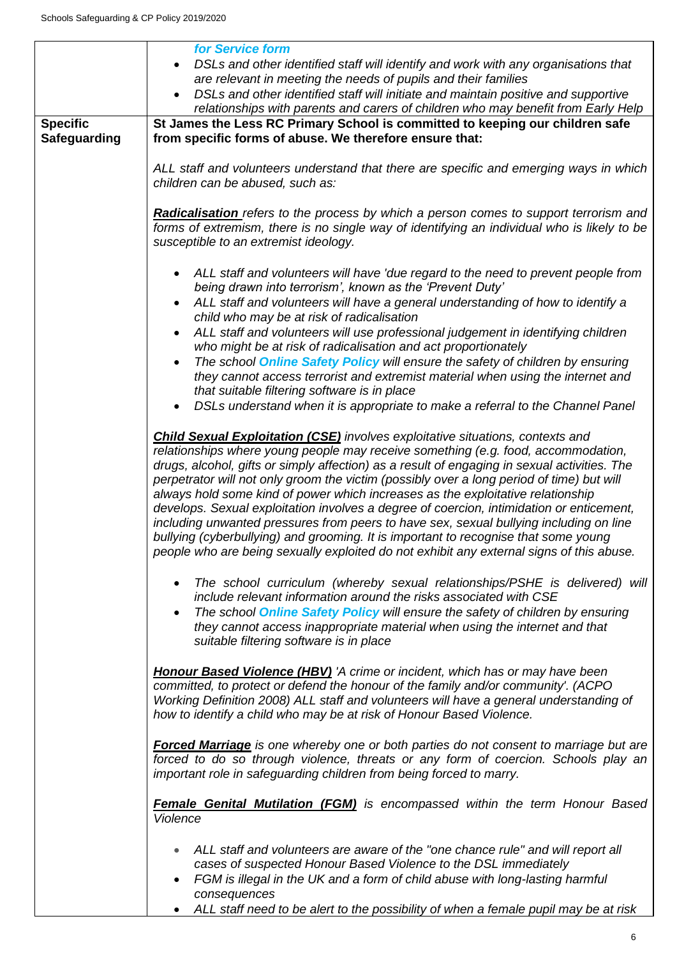|                     | for Service form                                                                                                                                 |  |  |
|---------------------|--------------------------------------------------------------------------------------------------------------------------------------------------|--|--|
|                     | DSLs and other identified staff will identify and work with any organisations that                                                               |  |  |
|                     | are relevant in meeting the needs of pupils and their families                                                                                   |  |  |
|                     | DSLs and other identified staff will initiate and maintain positive and supportive<br>$\bullet$                                                  |  |  |
|                     | relationships with parents and carers of children who may benefit from Early Help                                                                |  |  |
| <b>Specific</b>     | St James the Less RC Primary School is committed to keeping our children safe                                                                    |  |  |
| <b>Safeguarding</b> | from specific forms of abuse. We therefore ensure that:                                                                                          |  |  |
|                     |                                                                                                                                                  |  |  |
|                     | ALL staff and volunteers understand that there are specific and emerging ways in which                                                           |  |  |
|                     | children can be abused, such as:                                                                                                                 |  |  |
|                     |                                                                                                                                                  |  |  |
|                     | Radicalisation refers to the process by which a person comes to support terrorism and                                                            |  |  |
|                     | forms of extremism, there is no single way of identifying an individual who is likely to be<br>susceptible to an extremist ideology.             |  |  |
|                     |                                                                                                                                                  |  |  |
|                     | ALL staff and volunteers will have 'due regard to the need to prevent people from                                                                |  |  |
|                     | being drawn into terrorism', known as the 'Prevent Duty'                                                                                         |  |  |
|                     | ALL staff and volunteers will have a general understanding of how to identify a                                                                  |  |  |
|                     | child who may be at risk of radicalisation                                                                                                       |  |  |
|                     | ALL staff and volunteers will use professional judgement in identifying children<br>$\bullet$                                                    |  |  |
|                     | who might be at risk of radicalisation and act proportionately                                                                                   |  |  |
|                     | The school <b>Online Safety Policy</b> will ensure the safety of children by ensuring<br>$\bullet$                                               |  |  |
|                     | they cannot access terrorist and extremist material when using the internet and                                                                  |  |  |
|                     | that suitable filtering software is in place                                                                                                     |  |  |
|                     | DSLs understand when it is appropriate to make a referral to the Channel Panel                                                                   |  |  |
|                     |                                                                                                                                                  |  |  |
|                     | <b>Child Sexual Exploitation (CSE)</b> involves exploitative situations, contexts and                                                            |  |  |
|                     | relationships where young people may receive something (e.g. food, accommodation,                                                                |  |  |
|                     | drugs, alcohol, gifts or simply affection) as a result of engaging in sexual activities. The                                                     |  |  |
|                     | perpetrator will not only groom the victim (possibly over a long period of time) but will                                                        |  |  |
|                     | always hold some kind of power which increases as the exploitative relationship                                                                  |  |  |
|                     | develops. Sexual exploitation involves a degree of coercion, intimidation or enticement,                                                         |  |  |
|                     | including unwanted pressures from peers to have sex, sexual bullying including on line                                                           |  |  |
|                     | bullying (cyberbullying) and grooming. It is important to recognise that some young                                                              |  |  |
|                     | people who are being sexually exploited do not exhibit any external signs of this abuse.                                                         |  |  |
|                     |                                                                                                                                                  |  |  |
|                     | The school curriculum (whereby sexual relationships/PSHE is delivered) will<br>include relevant information around the risks associated with CSE |  |  |
|                     | The school <b>Online Safety Policy</b> will ensure the safety of children by ensuring                                                            |  |  |
|                     | $\bullet$<br>they cannot access inappropriate material when using the internet and that                                                          |  |  |
|                     | suitable filtering software is in place                                                                                                          |  |  |
|                     |                                                                                                                                                  |  |  |
|                     | <b>Honour Based Violence (HBV)</b> 'A crime or incident, which has or may have been                                                              |  |  |
|                     | committed, to protect or defend the honour of the family and/or community'. (ACPO                                                                |  |  |
|                     | Working Definition 2008) ALL staff and volunteers will have a general understanding of                                                           |  |  |
|                     | how to identify a child who may be at risk of Honour Based Violence.                                                                             |  |  |
|                     |                                                                                                                                                  |  |  |
|                     | <b>Forced Marriage</b> is one whereby one or both parties do not consent to marriage but are                                                     |  |  |
|                     | forced to do so through violence, threats or any form of coercion. Schools play an                                                               |  |  |
|                     | important role in safeguarding children from being forced to marry.                                                                              |  |  |
|                     |                                                                                                                                                  |  |  |
|                     | <b>Female Genital Mutilation (FGM)</b> is encompassed within the term Honour Based                                                               |  |  |
|                     | Violence                                                                                                                                         |  |  |
|                     |                                                                                                                                                  |  |  |
|                     | ALL staff and volunteers are aware of the "one chance rule" and will report all                                                                  |  |  |
|                     | cases of suspected Honour Based Violence to the DSL immediately                                                                                  |  |  |
|                     | FGM is illegal in the UK and a form of child abuse with long-lasting harmful                                                                     |  |  |
|                     | consequences                                                                                                                                     |  |  |
|                     | ALL staff need to be alert to the possibility of when a female pupil may be at risk                                                              |  |  |

6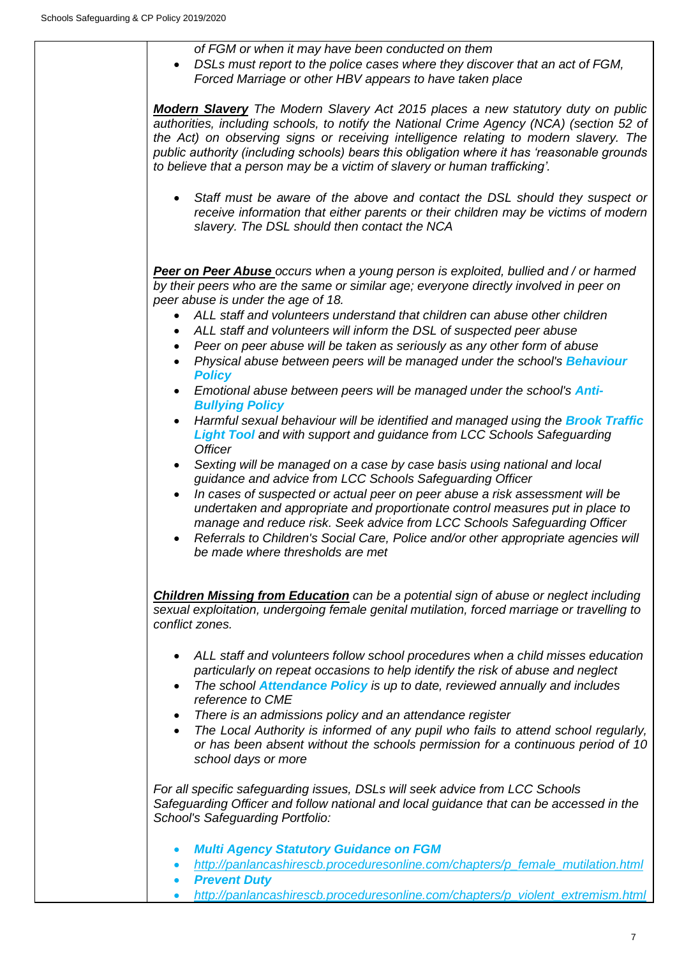*of FGM or when it may have been conducted on them*

• *DSLs must report to the police cases where they discover that an act of FGM, Forced Marriage or other HBV appears to have taken place*

*Modern Slavery The Modern Slavery Act 2015 places a new statutory duty on public authorities, including schools, to notify the National Crime Agency (NCA) (section 52 of the Act) on observing signs or receiving intelligence relating to modern slavery. The public authority (including schools) bears this obligation where it has 'reasonable grounds to believe that a person may be a victim of slavery or human trafficking'.* 

• *Staff must be aware of the above and contact the DSL should they suspect or receive information that either parents or their children may be victims of modern slavery. The DSL should then contact the NCA* 

*Peer on Peer Abuse occurs when a young person is exploited, bullied and / or harmed by their peers who are the same or similar age; everyone directly involved in peer on peer abuse is under the age of 18.*

- *ALL staff and volunteers understand that children can abuse other children*
- *ALL staff and volunteers will inform the DSL of suspected peer abuse*
- *Peer on peer abuse will be taken as seriously as any other form of abuse*
- *Physical abuse between peers will be managed under the school's Behaviour Policy*
- Emotional abuse between peers will be managed under the school's **Anti-***Bullying Policy*
- *Harmful sexual behaviour will be identified and managed using the Brook Traffic Light Tool and with support and guidance from LCC Schools Safeguarding Officer*
- *Sexting will be managed on a case by case basis using national and local guidance and advice from LCC Schools Safeguarding Officer*
- *In cases of suspected or actual peer on peer abuse a risk assessment will be undertaken and appropriate and proportionate control measures put in place to manage and reduce risk. Seek advice from LCC Schools Safeguarding Officer*
- Referrals to Children's Social Care, Police and/or other appropriate agencies will *be made where thresholds are met*

*Children Missing from Education can be a potential sign of abuse or neglect including sexual exploitation, undergoing female genital mutilation, forced marriage or travelling to conflict zones.* 

- *ALL staff and volunteers follow school procedures when a child misses education particularly on repeat occasions to help identify the risk of abuse and neglect*
- *The school Attendance Policy is up to date, reviewed annually and includes reference to CME*
- *There is an admissions policy and an attendance register*
- *The Local Authority is informed of any pupil who fails to attend school regularly, or has been absent without the schools permission for a continuous period of 10 school days or more*

*For all specific safeguarding issues, DSLs will seek advice from LCC Schools Safeguarding Officer and follow national and local guidance that can be accessed in the School's Safeguarding Portfolio:*

- *Multi Agency Statutory Guidance on FGM*
- *[http://panlancashirescb.proceduresonline.com/chapters/p\\_female\\_mutilation.html](http://panlancashirescb.proceduresonline.com/chapters/p_female_mutilation.html)*
- *Prevent Duty*
- *[http://panlancashirescb.proceduresonline.com/chapters/p\\_violent\\_extremism.html](http://panlancashirescb.proceduresonline.com/chapters/p_violent_extremism.html)*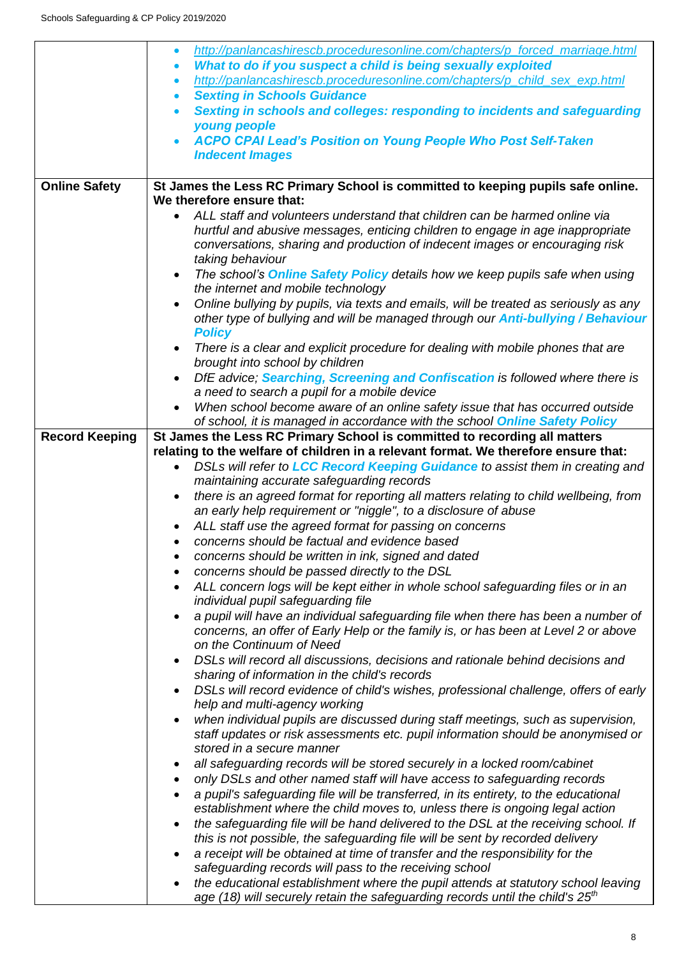|                       | http://panlancashirescb.proceduresonline.com/chapters/p_forced_marriage.html<br>$\bullet$                                                            |  |
|-----------------------|------------------------------------------------------------------------------------------------------------------------------------------------------|--|
|                       | What to do if you suspect a child is being sexually exploited<br>$\bullet$                                                                           |  |
|                       | http://panlancashirescb.proceduresonline.com/chapters/p_child_sex_exp.html<br>$\bullet$                                                              |  |
|                       | <b>Sexting in Schools Guidance</b><br>$\bullet$                                                                                                      |  |
|                       | Sexting in schools and colleges: responding to incidents and safeguarding<br>$\bullet$<br>young people                                               |  |
|                       | <b>ACPO CPAI Lead's Position on Young People Who Post Self-Taken</b>                                                                                 |  |
|                       | <b>Indecent Images</b>                                                                                                                               |  |
|                       |                                                                                                                                                      |  |
| <b>Online Safety</b>  | St James the Less RC Primary School is committed to keeping pupils safe online.                                                                      |  |
|                       | We therefore ensure that:                                                                                                                            |  |
|                       | ALL staff and volunteers understand that children can be harmed online via<br>$\bullet$                                                              |  |
|                       | hurtful and abusive messages, enticing children to engage in age inappropriate                                                                       |  |
|                       | conversations, sharing and production of indecent images or encouraging risk                                                                         |  |
|                       | taking behaviour                                                                                                                                     |  |
|                       | The school's <b>Online Safety Policy details how we keep pupils safe when using</b><br>$\bullet$                                                     |  |
|                       | the internet and mobile technology                                                                                                                   |  |
|                       | Online bullying by pupils, via texts and emails, will be treated as seriously as any                                                                 |  |
|                       | other type of bullying and will be managed through our <b>Anti-bullying / Behaviour</b>                                                              |  |
|                       | <b>Policy</b>                                                                                                                                        |  |
|                       | There is a clear and explicit procedure for dealing with mobile phones that are<br>$\bullet$<br>brought into school by children                      |  |
|                       | DfE advice; Searching, Screening and Confiscation is followed where there is                                                                         |  |
|                       | a need to search a pupil for a mobile device                                                                                                         |  |
|                       | When school become aware of an online safety issue that has occurred outside                                                                         |  |
|                       | of school, it is managed in accordance with the school Online Safety Policy                                                                          |  |
| <b>Record Keeping</b> | St James the Less RC Primary School is committed to recording all matters                                                                            |  |
|                       | relating to the welfare of children in a relevant format. We therefore ensure that:                                                                  |  |
|                       | DSLs will refer to LCC Record Keeping Guidance to assist them in creating and<br>$\bullet$                                                           |  |
|                       | maintaining accurate safeguarding records                                                                                                            |  |
|                       | there is an agreed format for reporting all matters relating to child wellbeing, from<br>$\bullet$                                                   |  |
|                       | an early help requirement or "niggle", to a disclosure of abuse                                                                                      |  |
|                       | ALL staff use the agreed format for passing on concerns                                                                                              |  |
|                       | concerns should be factual and evidence based<br>$\bullet$                                                                                           |  |
|                       | concerns should be written in ink, signed and dated                                                                                                  |  |
|                       | concerns should be passed directly to the DSL                                                                                                        |  |
|                       | ALL concern logs will be kept either in whole school safeguarding files or in an<br>٠<br>individual pupil safeguarding file                          |  |
|                       | a pupil will have an individual safeguarding file when there has been a number of<br>$\bullet$                                                       |  |
|                       | concerns, an offer of Early Help or the family is, or has been at Level 2 or above                                                                   |  |
|                       | on the Continuum of Need                                                                                                                             |  |
|                       | DSLs will record all discussions, decisions and rationale behind decisions and<br>$\bullet$                                                          |  |
|                       | sharing of information in the child's records                                                                                                        |  |
|                       | DSLs will record evidence of child's wishes, professional challenge, offers of early<br>$\bullet$                                                    |  |
|                       | help and multi-agency working                                                                                                                        |  |
|                       | when individual pupils are discussed during staff meetings, such as supervision,                                                                     |  |
|                       | staff updates or risk assessments etc. pupil information should be anonymised or<br>stored in a secure manner                                        |  |
|                       |                                                                                                                                                      |  |
|                       | all safeguarding records will be stored securely in a locked room/cabinet                                                                            |  |
|                       | only DSLs and other named staff will have access to safeguarding records<br>$\bullet$                                                                |  |
|                       | a pupil's safeguarding file will be transferred, in its entirety, to the educational<br>$\bullet$                                                    |  |
|                       | establishment where the child moves to, unless there is ongoing legal action                                                                         |  |
|                       | the safeguarding file will be hand delivered to the DSL at the receiving school. If                                                                  |  |
|                       | this is not possible, the safeguarding file will be sent by recorded delivery                                                                        |  |
|                       | a receipt will be obtained at time of transfer and the responsibility for the<br>$\bullet$<br>safeguarding records will pass to the receiving school |  |
|                       | the educational establishment where the pupil attends at statutory school leaving                                                                    |  |
|                       | age (18) will securely retain the safeguarding records until the child's $25th$                                                                      |  |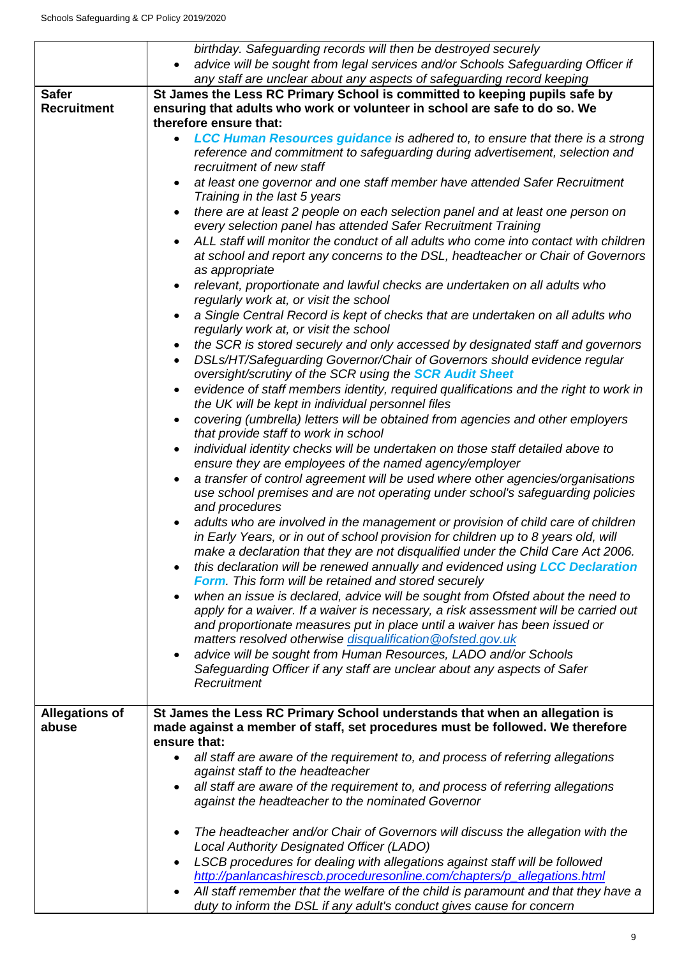|                                    | birthday. Safeguarding records will then be destroyed securely                                                                                                                                                                                                                                                   |
|------------------------------------|------------------------------------------------------------------------------------------------------------------------------------------------------------------------------------------------------------------------------------------------------------------------------------------------------------------|
|                                    | advice will be sought from legal services and/or Schools Safeguarding Officer if<br>any staff are unclear about any aspects of safeguarding record keeping                                                                                                                                                       |
| <b>Safer</b><br><b>Recruitment</b> | St James the Less RC Primary School is committed to keeping pupils safe by<br>ensuring that adults who work or volunteer in school are safe to do so. We<br>therefore ensure that:                                                                                                                               |
|                                    | LCC Human Resources guidance is adhered to, to ensure that there is a strong                                                                                                                                                                                                                                     |
|                                    | reference and commitment to safeguarding during advertisement, selection and<br>recruitment of new staff                                                                                                                                                                                                         |
|                                    | at least one governor and one staff member have attended Safer Recruitment<br>Training in the last 5 years                                                                                                                                                                                                       |
|                                    | there are at least 2 people on each selection panel and at least one person on<br>every selection panel has attended Safer Recruitment Training                                                                                                                                                                  |
|                                    | ALL staff will monitor the conduct of all adults who come into contact with children<br>at school and report any concerns to the DSL, headteacher or Chair of Governors<br>as appropriate                                                                                                                        |
|                                    | relevant, proportionate and lawful checks are undertaken on all adults who<br>regularly work at, or visit the school                                                                                                                                                                                             |
|                                    | a Single Central Record is kept of checks that are undertaken on all adults who<br>regularly work at, or visit the school                                                                                                                                                                                        |
|                                    | the SCR is stored securely and only accessed by designated staff and governors<br>٠                                                                                                                                                                                                                              |
|                                    | DSLs/HT/Safeguarding Governor/Chair of Governors should evidence regular<br>oversight/scrutiny of the SCR using the <b>SCR Audit Sheet</b>                                                                                                                                                                       |
|                                    | evidence of staff members identity, required qualifications and the right to work in<br>the UK will be kept in individual personnel files                                                                                                                                                                        |
|                                    | covering (umbrella) letters will be obtained from agencies and other employers<br>that provide staff to work in school                                                                                                                                                                                           |
|                                    | individual identity checks will be undertaken on those staff detailed above to<br>$\bullet$<br>ensure they are employees of the named agency/employer                                                                                                                                                            |
|                                    | a transfer of control agreement will be used where other agencies/organisations<br>use school premises and are not operating under school's safeguarding policies<br>and procedures                                                                                                                              |
|                                    | adults who are involved in the management or provision of child care of children<br>in Early Years, or in out of school provision for children up to 8 years old, will<br>make a declaration that they are not disqualified under the Child Care Act 2006.                                                       |
|                                    | this declaration will be renewed annually and evidenced using LCC Declaration<br>Form. This form will be retained and stored securely                                                                                                                                                                            |
|                                    | when an issue is declared, advice will be sought from Ofsted about the need to<br>apply for a waiver. If a waiver is necessary, a risk assessment will be carried out<br>and proportionate measures put in place until a waiver has been issued or<br>matters resolved otherwise disqualification @ofsted.gov.uk |
|                                    | advice will be sought from Human Resources, LADO and/or Schools                                                                                                                                                                                                                                                  |
|                                    | Safeguarding Officer if any staff are unclear about any aspects of Safer<br>Recruitment                                                                                                                                                                                                                          |
| <b>Allegations of</b><br>abuse     | St James the Less RC Primary School understands that when an allegation is<br>made against a member of staff, set procedures must be followed. We therefore<br>ensure that:                                                                                                                                      |
|                                    | all staff are aware of the requirement to, and process of referring allegations<br>against staff to the headteacher                                                                                                                                                                                              |
|                                    | all staff are aware of the requirement to, and process of referring allegations<br>against the headteacher to the nominated Governor                                                                                                                                                                             |
|                                    | The headteacher and/or Chair of Governors will discuss the allegation with the<br>Local Authority Designated Officer (LADO)                                                                                                                                                                                      |
|                                    | LSCB procedures for dealing with allegations against staff will be followed<br>http://panlancashirescb.proceduresonline.com/chapters/p_allegations.html                                                                                                                                                          |
|                                    | All staff remember that the welfare of the child is paramount and that they have a<br>duty to inform the DSL if any adult's conduct gives cause for concern                                                                                                                                                      |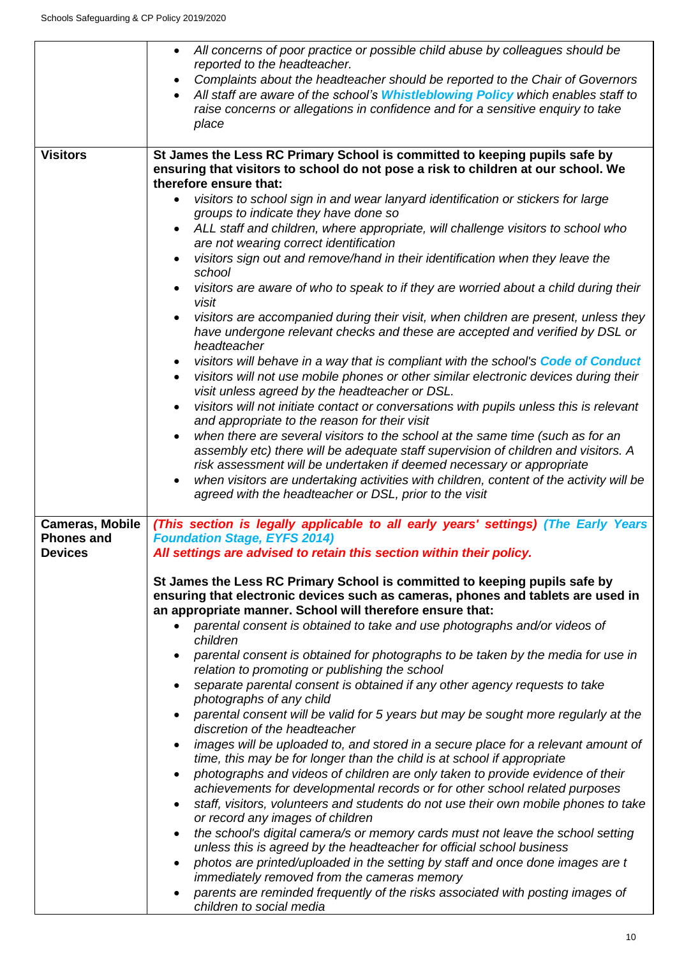|                                                               | All concerns of poor practice or possible child abuse by colleagues should be<br>reported to the headteacher.                                                                                                                                                                           |  |  |
|---------------------------------------------------------------|-----------------------------------------------------------------------------------------------------------------------------------------------------------------------------------------------------------------------------------------------------------------------------------------|--|--|
|                                                               | Complaints about the headteacher should be reported to the Chair of Governors<br>$\bullet$<br>All staff are aware of the school's Whistleblowing Policy which enables staff to<br>$\bullet$<br>raise concerns or allegations in confidence and for a sensitive enquiry to take<br>place |  |  |
| <b>Visitors</b>                                               | St James the Less RC Primary School is committed to keeping pupils safe by<br>ensuring that visitors to school do not pose a risk to children at our school. We                                                                                                                         |  |  |
|                                                               | therefore ensure that:                                                                                                                                                                                                                                                                  |  |  |
|                                                               | visitors to school sign in and wear lanyard identification or stickers for large<br>groups to indicate they have done so                                                                                                                                                                |  |  |
|                                                               | ALL staff and children, where appropriate, will challenge visitors to school who<br>$\bullet$<br>are not wearing correct identification                                                                                                                                                 |  |  |
|                                                               | visitors sign out and remove/hand in their identification when they leave the<br>$\bullet$<br>school                                                                                                                                                                                    |  |  |
|                                                               | visitors are aware of who to speak to if they are worried about a child during their<br>visit                                                                                                                                                                                           |  |  |
|                                                               | visitors are accompanied during their visit, when children are present, unless they<br>٠<br>have undergone relevant checks and these are accepted and verified by DSL or<br>headteacher                                                                                                 |  |  |
|                                                               | visitors will behave in a way that is compliant with the school's Code of Conduct<br>$\bullet$<br>visitors will not use mobile phones or other similar electronic devices during their<br>visit unless agreed by the headteacher or DSL.                                                |  |  |
|                                                               | visitors will not initiate contact or conversations with pupils unless this is relevant<br>٠<br>and appropriate to the reason for their visit                                                                                                                                           |  |  |
|                                                               | when there are several visitors to the school at the same time (such as for an<br>$\bullet$<br>assembly etc) there will be adequate staff supervision of children and visitors. A<br>risk assessment will be undertaken if deemed necessary or appropriate                              |  |  |
|                                                               | when visitors are undertaking activities with children, content of the activity will be<br>$\bullet$<br>agreed with the headteacher or DSL, prior to the visit                                                                                                                          |  |  |
| <b>Cameras, Mobile</b><br><b>Phones and</b><br><b>Devices</b> | (This section is legally applicable to all early years' settings) (The Early Years<br><b>Foundation Stage, EYFS 2014)</b><br>All settings are advised to retain this section within their policy.                                                                                       |  |  |
|                                                               | St James the Less RC Primary School is committed to keeping pupils safe by<br>ensuring that electronic devices such as cameras, phones and tablets are used in<br>an appropriate manner. School will therefore ensure that:                                                             |  |  |
|                                                               | parental consent is obtained to take and use photographs and/or videos of<br>$\bullet$<br>children                                                                                                                                                                                      |  |  |
|                                                               | parental consent is obtained for photographs to be taken by the media for use in<br>relation to promoting or publishing the school                                                                                                                                                      |  |  |
|                                                               | separate parental consent is obtained if any other agency requests to take<br>$\bullet$<br>photographs of any child                                                                                                                                                                     |  |  |
|                                                               | parental consent will be valid for 5 years but may be sought more regularly at the<br>$\bullet$<br>discretion of the headteacher                                                                                                                                                        |  |  |
|                                                               | images will be uploaded to, and stored in a secure place for a relevant amount of<br>$\bullet$<br>time, this may be for longer than the child is at school if appropriate                                                                                                               |  |  |
|                                                               | photographs and videos of children are only taken to provide evidence of their<br>$\bullet$<br>achievements for developmental records or for other school related purposes<br>staff, visitors, volunteers and students do not use their own mobile phones to take<br>$\bullet$          |  |  |
|                                                               | or record any images of children                                                                                                                                                                                                                                                        |  |  |
|                                                               | the school's digital camera/s or memory cards must not leave the school setting<br>٠<br>unless this is agreed by the headteacher for official school business                                                                                                                           |  |  |
|                                                               | photos are printed/uploaded in the setting by staff and once done images are t<br>٠<br>immediately removed from the cameras memory                                                                                                                                                      |  |  |
|                                                               | parents are reminded frequently of the risks associated with posting images of<br>$\bullet$<br>children to social media                                                                                                                                                                 |  |  |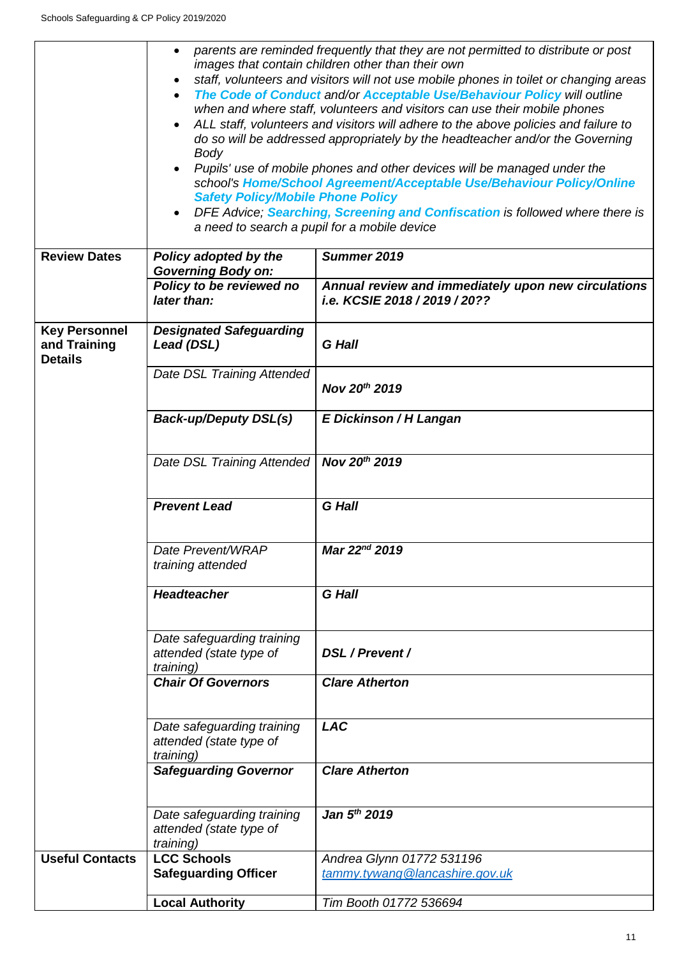$\mathbf{r}$ 

|                                                        | parents are reminded frequently that they are not permitted to distribute or post<br>images that contain children other than their own<br>staff, volunteers and visitors will not use mobile phones in toilet or changing areas<br>The Code of Conduct and/or Acceptable Use/Behaviour Policy will outline<br>when and where staff, volunteers and visitors can use their mobile phones<br>ALL staff, volunteers and visitors will adhere to the above policies and failure to<br>do so will be addressed appropriately by the headteacher and/or the Governing<br>Body<br>Pupils' use of mobile phones and other devices will be managed under the<br>school's Home/School Agreement/Acceptable Use/Behaviour Policy/Online<br><b>Safety Policy/Mobile Phone Policy</b><br>DFE Advice; Searching, Screening and Confiscation is followed where there is<br>a need to search a pupil for a mobile device |                                                                                      |
|--------------------------------------------------------|----------------------------------------------------------------------------------------------------------------------------------------------------------------------------------------------------------------------------------------------------------------------------------------------------------------------------------------------------------------------------------------------------------------------------------------------------------------------------------------------------------------------------------------------------------------------------------------------------------------------------------------------------------------------------------------------------------------------------------------------------------------------------------------------------------------------------------------------------------------------------------------------------------|--------------------------------------------------------------------------------------|
| <b>Review Dates</b>                                    | Policy adopted by the<br><b>Governing Body on:</b><br>Policy to be reviewed no                                                                                                                                                                                                                                                                                                                                                                                                                                                                                                                                                                                                                                                                                                                                                                                                                           | Summer 2019                                                                          |
|                                                        | later than:                                                                                                                                                                                                                                                                                                                                                                                                                                                                                                                                                                                                                                                                                                                                                                                                                                                                                              | Annual review and immediately upon new circulations<br>i.e. KCSIE 2018 / 2019 / 20?? |
| <b>Key Personnel</b><br>and Training<br><b>Details</b> | <b>Designated Safeguarding</b><br>Lead (DSL)                                                                                                                                                                                                                                                                                                                                                                                                                                                                                                                                                                                                                                                                                                                                                                                                                                                             | <b>G</b> Hall                                                                        |
|                                                        | Date DSL Training Attended                                                                                                                                                                                                                                                                                                                                                                                                                                                                                                                                                                                                                                                                                                                                                                                                                                                                               | Nov 20th 2019                                                                        |
|                                                        | <b>Back-up/Deputy DSL(s)</b>                                                                                                                                                                                                                                                                                                                                                                                                                                                                                                                                                                                                                                                                                                                                                                                                                                                                             | E Dickinson / H Langan                                                               |
|                                                        | Date DSL Training Attended                                                                                                                                                                                                                                                                                                                                                                                                                                                                                                                                                                                                                                                                                                                                                                                                                                                                               | Nov 20th 2019                                                                        |
|                                                        | <b>Prevent Lead</b>                                                                                                                                                                                                                                                                                                                                                                                                                                                                                                                                                                                                                                                                                                                                                                                                                                                                                      | <b>G</b> Hall                                                                        |
|                                                        | Date Prevent/WRAP<br>training attended                                                                                                                                                                                                                                                                                                                                                                                                                                                                                                                                                                                                                                                                                                                                                                                                                                                                   | Mar 22 <sup>nd</sup> 2019                                                            |
|                                                        | <b>Headteacher</b>                                                                                                                                                                                                                                                                                                                                                                                                                                                                                                                                                                                                                                                                                                                                                                                                                                                                                       | <b>G</b> Hall                                                                        |
|                                                        | Date safeguarding training<br>attended (state type of<br><i>training</i> )                                                                                                                                                                                                                                                                                                                                                                                                                                                                                                                                                                                                                                                                                                                                                                                                                               | DSL / Prevent /                                                                      |
|                                                        | <b>Chair Of Governors</b>                                                                                                                                                                                                                                                                                                                                                                                                                                                                                                                                                                                                                                                                                                                                                                                                                                                                                | <b>Clare Atherton</b>                                                                |
|                                                        | Date safeguarding training<br>attended (state type of<br><i>training</i> )                                                                                                                                                                                                                                                                                                                                                                                                                                                                                                                                                                                                                                                                                                                                                                                                                               | <b>LAC</b>                                                                           |
|                                                        | <b>Safeguarding Governor</b>                                                                                                                                                                                                                                                                                                                                                                                                                                                                                                                                                                                                                                                                                                                                                                                                                                                                             | <b>Clare Atherton</b>                                                                |
|                                                        | Date safeguarding training<br>attended (state type of<br>training)                                                                                                                                                                                                                                                                                                                                                                                                                                                                                                                                                                                                                                                                                                                                                                                                                                       | Jan 5th 2019                                                                         |
| <b>Useful Contacts</b>                                 | <b>LCC Schools</b>                                                                                                                                                                                                                                                                                                                                                                                                                                                                                                                                                                                                                                                                                                                                                                                                                                                                                       | Andrea Glynn 01772 531196                                                            |
|                                                        | <b>Safeguarding Officer</b>                                                                                                                                                                                                                                                                                                                                                                                                                                                                                                                                                                                                                                                                                                                                                                                                                                                                              | tammy.tywang@lancashire.gov.uk                                                       |
|                                                        | <b>Local Authority</b>                                                                                                                                                                                                                                                                                                                                                                                                                                                                                                                                                                                                                                                                                                                                                                                                                                                                                   | Tim Booth 01772 536694                                                               |